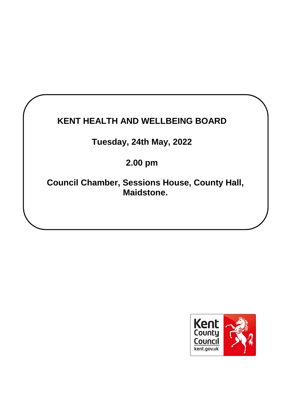# **KENT HEALTH AND WELLBEING BOARD**

# **Tuesday, 24th May, 2022**

# **2.00 pm**

**Council Chamber, Sessions House, County Hall, Maidstone.**

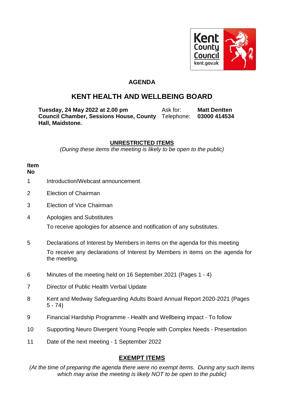

### **AGENDA**

## **KENT HEALTH AND WELLBEING BOARD**

**Tuesday, 24 May 2022 at 2.00 pm** Ask for: **Matt Dentten Council Chamber, Sessions House, County**  Telephone: **03000 414534 Hall, Maidstone.**

### **UNRESTRICTED ITEMS**

*(During these items the meeting is likely to be open to the public)*

#### **Item No**

- 1 Introduction/Webcast announcement
- 2 Election of Chairman
- 3 Election of Vice Chairman
- 4 Apologies and Substitutes

To receive apologies for absence and notification of any substitutes.

- 5 Declarations of Interest by Members in items on the agenda for this meeting To receive any declarations of Interest by Members in items on the agenda for the meeting.
- 6 Minutes of the meeting held on 16 September 2021 (Pages 1 4)
- 7 Director of Public Health Verbal Update
- 8 Kent and Medway Safeguarding Adults Board Annual Report 2020-2021 (Pages 5 - 74)
- 9 Financial Hardship Programme Health and Wellbeing impact To follow
- 10 Supporting Neuro Divergent Young People with Complex Needs Presentation
- 11 Date of the next meeting 1 September 2022

### **EXEMPT ITEMS**

*(At the time of preparing the agenda there were no exempt items. During any such items which may arise the meeting is likely NOT to be open to the public)*